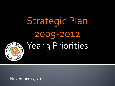**Strategic Plan** 2009-2012 Year 3 Priorities



November 17, 2011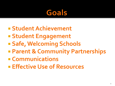#### Goals

- **Student Achievement**
- **Student Engagement**
- **Safe, Welcoming Schools**
- **Parent & Community Partnerships**
- **Communications**
- **Effective Use of Resources**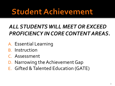## **Student Achievement**

#### *ALL STUDENTS WILL MEET OR EXCEED PROFICIENCY IN CORE CONTENT AREAS.*

- A. Essential Learning
- B. Instruction
- C. Assessment
- D. Narrowing the Achievement Gap
- E. Gifted & Talented Education (GATE)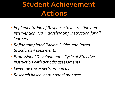### **Student Achievement Actions**

- *Implementation of Response to Instruction and Intervention (RtI2), accelerating instruction for all learners*
- *Refine completed Pacing Guides and Paced Standards Assessments*
- *Professional Development Cycle of Effective Instruction with periodic assessments*
- *Leverage the experts among us*
- *Research based instructional practices*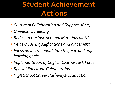### **Student Achievement Actions**

- *Culture of Collaboration and Support (K-12)*
- *Universal Screening*
- *Redesign the Instructional Materials Matrix*
- *Review GATE qualifications and placement*
- *Focus on instructional data to guide and adjust learning goals*
- *Implementation of English Learner Task Force*
- *Special Education Collaboration*
- *High School Career Pathways/Graduation*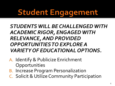## **Student Engagement**

#### *STUDENTS WILL BE CHALLENGED WITH ACADEMIC RIGOR, ENGAGED WITH RELEVANCE, AND PROVIDED OPPORTUNITIES TO EXPLORE A VARIETY OF EDUCATIONAL OPTIONS.*

- A. Identify & Publicize Enrichment **Opportunities**
- B. Increase Program Personalization
- C. Solicit & Utilize Community Participation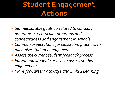#### **Student Engagement Actions**

- *Set measurable goals correlated to curricular programs, co-curricular programs and connectedness and engagement in schools*
- *Common expectations for classroom practices to maximize student engagement*
- *Assess the current student feedback process*
- *Parent and student surveys to assess student engagement*
- *Plans for Career Pathways and Linked Learning*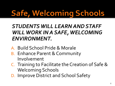# **Safe, Welcoming Schools**

#### *STUDENTS WILL LEARN AND STAFF WILL WORK IN A SAFE, WELCOMING ENVIRONMENT.*

- A. Build School Pride & Morale
- B. Enhance Parent & Community Involvement
- C. Training to Facilitate the Creation of Safe & Welcoming Schools
- D. Improve District and School Safety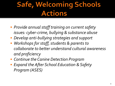### **Safe, Welcoming Schools Actions**

- *Provide annual staff training on current safety issues: cyber-crime, bullying & substance abuse*
- *Develop anti-bullying strategies and support*
- *Workshops for staff, students & parents to collaborate to better understand cultural awareness and proficiency*
- *Continue the Canine Detection Program*
- *Expand the After School Education & Safety Program (ASES)*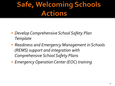### **Safe, Welcoming Schools Actions**

- *Develop Comprehensive School Safety Plan Template*
- *Readiness and Emergency Management in Schools (REMS) support and integration with Comprehensive School Safety Plans*
- *Emergency Operation Center (EOC) training*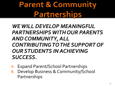**Parent & Community Partnerships** 

#### *WE WILL DEVELOP MEANINGFUL PARTNERSHIPS WITH OUR PARENTS AND COMMUNITY, ALL CONTRIBUTING TO THE SUPPORT OF OUR STUDENTS IN ACHIEVING SUCCESS.*

- A. Expand Parent/School Partnerships
- B. Develop Business & Community/School Partnerships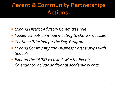#### **Parent & Community Partnerships Actions**

- *Expand District Advisory Committee role*
- *Feeder schools continue meeting to share successes*
- *Continue Principal for the Day Program*
- *Expand Community and Business Partnerships with Schools*
- *Expand the OUSD website's Master Events Calendar to include additional academic events*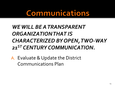**Communications** 

#### *WE WILL BE A TRANSPARENT ORGANIZATION THAT IS CHARACTERIZED BY OPEN, TWO-WAY 21ST CENTURY COMMUNICATION.*

A. Evaluate & Update the District Communications Plan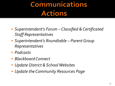### **Communications Actions**

- *Superintendent's Forum Classified & Certificated Staff Representatives*
- *Superintendent's Roundtable Parent Group Representatives*
- *Podcasts*
- *Blackboard Connect*
- *Update District & School Websites*
- *Update the Community Resources Page*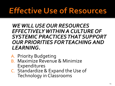## **Effective Use of Resources**

#### *WE WILL USE OUR RESOURCES EFFECTIVELY WITHIN A CULTURE OF SYSTEMIC PRACTICES THAT SUPPORT OUR PRIORITIES FOR TEACHING AND LEARNING.*

- A. Priority Budgeting
- B. Maximize Revenue & Minimize Expenditures
- C. Standardize & Expand the Use of Technology in Classrooms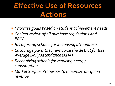#### **Effective Use of Resources Actions**

- *Prioritize goals based on student achievement needs*
- *Cabinet review of all purchase requisitions and ERCAs*
- *Recognizing schools for increasing attendance*
- *Encourage parents to reimburse the district for lost Average Daily Attendance (ADA)*
- *Recognizing schools for reducing energy consumption*
- *Market Surplus Properties to maximize on-going revenue*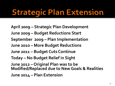## **Strategic Plan Extension**

**April 2009 – Strategic Plan Development June 2009 – Budget Reductions Start September 2009 – Plan Implementation June 2010 – More Budget Reductions June 2011 – Budget Cuts Continue Today – No Budget Relief in Sight June 2012 – Original Plan was to be Modified/Replaced due to New Goals & Realities June 2014 – Plan Extension**